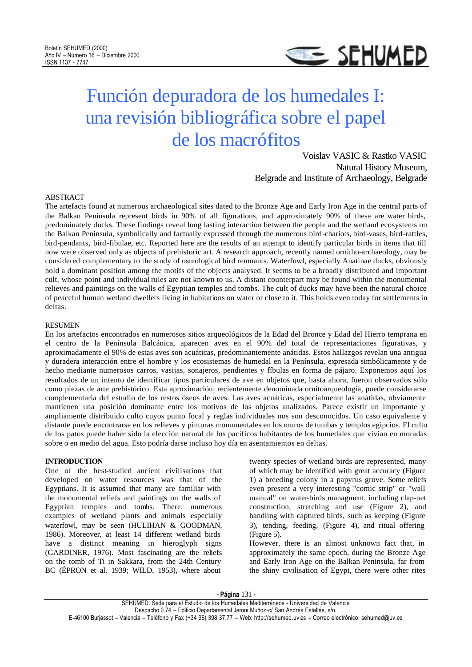

# Función depuradora de los humedales I: una revisión bibliográfica sobre el papel de los macrófitos

Voislav VASIC & Rastko VASIC Natural History Museum, Belgrade and Institute of Archaeology, Belgrade

# ABSTRACT

The artefacts found at numerous archaeological sites dated to the Bronze Age and Early Iron Age in the central parts of the Balkan Peninsula represent birds in 90% of all figurations, and approximately 90% of these are water birds, predominately ducks. These findings reveal long lasting interaction between the people and the wetland ecosystems on the Balkan Peninsula, symbolically and factually expressed through the numerous bird-chariots, bird-vases, bird-rattles, bird-pendants, bird-fibulae, etc. Reported here are the results of an attempt to identify particular birds in items that till now were observed only as objects of prehistoric art. A research approach, recently named ornitho-archaeology, may be considered complementary to the study of osteological bird remnants. Waterfowl, especially Anatinae ducks, obviously hold a dominant position among the motifs of the objects analysed. It seems to be a broadly distributed and important cult, whose point and individual rules are not known to us. A distant counterpart may be found within the monumental relieves and paintings on the walls of Egyptian temples and tombs. The cult of ducks may have been the natural choice of peaceful human wetland dwellers living in habitations on water or close to it. This holds even today for settlements in deltas.

#### **RESUMEN**

En los artefactos encontrados en numerosos sitios arqueológicos de la Edad del Bronce y Edad del Hierro temprana en el centro de la Península Balcánica, aparecen aves en el 90% del total de representaciones figurativas, y aproximadamente el 90% de estas aves son acuáticas, predominantemente anátidas. Estos hallazgos revelan una antigua y duradera interacción entre el hombre y los ecosistemas de humedal en la Península, expresada simbólicamente y de hecho mediante numerosos carros, vasijas, sonajeros, pendientes y fíbulas en forma de pájaro. Exponemos aquí los resultados de un intento de identificar tipos particulares de ave en objetos que, hasta ahora, fueron observados sólo como piezas de arte prehistórico. Esta aproximación, recientemente denominada ornitoarqueología, puede considerarse complementaria del estudio de los restos óseos de aves. Las aves acuáticas, especialmente las anátidas, obviamente mantienen una posición dominante entre los motivos de los objetos analizados. Parece existir un importante y ampliamente distribuido culto cuyos punto focal y reglas individuales nos son desconocidos. Un caso equivalente y distante puede encontrarse en los relieves y pinturas monumentales en los muros de tumbas y templos egipcios. El culto de los patos puede haber sido la elección natural de los pacíficos habitantes de los humedales que vivían en moradas sobre o en medio del agua. Esto podría darse incluso hoy día en asentamientos en deltas.

#### **INTRODUCTION**

One of the best-studied ancient civilisations that developed on water resources was that of the Egyptians. It is assumed that many are familiar with the monumental reliefs and paintings on the walls of Egyptian temples and tombs. There, numerous examples of wetland plants and animals especially waterfowl, may be seen (HULIHAN & GOODMAN, 1986). Moreover, at least 14 different wetland birds have a distinct meaning in hieroglyph signs (GARDINER, 1976). Most fascinating are the reliefs on the tomb of Ti in Sakkara, from the 24th Century BC (ÉPRON et al. 1939; WILD, 1953), where about

twenty species of wetland birds are represented, many of which may be identified with great accuracy (Figure 1) a breeding colony in a papyrus grove. Some reliefs even present a very interesting "comic strip" or "wall manual" on water-birds managment, including clap-net construction, stretching and use (Figure 2), and handling with captured birds, such as keeping (Figure 3), tending, feeding, (Figure 4), and ritual offering (Figure 5).

However, there is an almost unknown fact that, in approximately the same epoch, during the Bronze Age and Early Iron Age on the Balkan Peninsula, far from the shiny civilisation of Egypt, there were other rites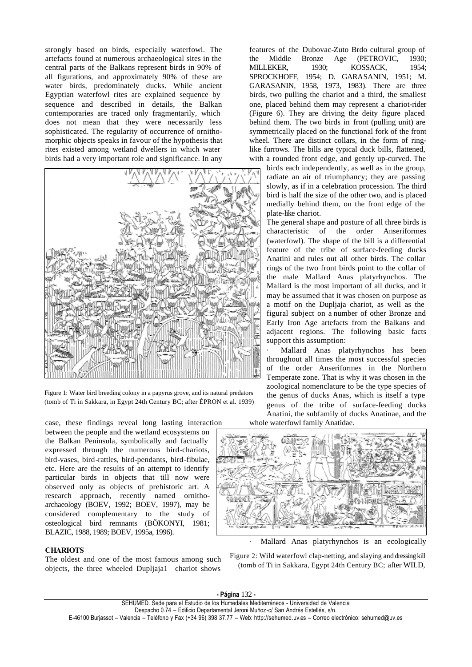strongly based on birds, especially waterfowl. The artefacts found at numerous archaeological sites in the central parts of the Balkans represent birds in 90% of all figurations, and approximately 90% of these are water birds, predominately ducks. While ancient Egyptian waterfowl rites are explained sequence by sequence and described in details, the Balkan contemporaries are traced only fragmentarily, which does not mean that they were necessarily less sophisticated. The regularity of occurrence of ornithomorphic objects speaks in favour of the hypothesis that rites existed among wetland dwellers in which water birds had a very important role and significance. In any



Figure 1: Water bird breeding colony in a papyrus grove, and its natural predators (tomb of Ti in Sakkara, in Egypt 24th Century BC; after ÉPRON et al. 1939)

case, these findings reveal long lasting interaction between the people and the wetland ecosystems on the Balkan Peninsula, symbolically and factually expressed through the numerous bird-chariots, bird-vases, bird-rattles, bird-pendants, bird-fibulae, etc. Here are the results of an attempt to identify particular birds in objects that till now were observed only as objects of prehistoric art. A research approach, recently named ornithoarchaeology (BOEV, 1992; BOEV, 1997), may be considered complementary to the study of osteological bird remnants (BÖKONYI, 1981; BLAZIC, 1988, 1989; BOEV, 1995a, 1996).

# **CHARIOTS**

The oldest and one of the most famous among such objects, the three wheeled Dupljaja1 chariot shows features of the Dubovac-Zuto Brdo cultural group of the Middle Bronze Age (PETROVIC, 1930; MILLEKER, 1930; KOSSACK, 1954; SPROCKHOFF, 1954; D. GARASANIN, 1951; M. GARASANIN, 1958, 1973, 1983). There are three birds, two pulling the chariot and a third, the smallest one, placed behind them may represent a chariot-rider (Figure 6). They are driving the deity figure placed behind them. The two birds in front (pulling unit) are symmetrically placed on the functional fork of the front wheel. There are distinct collars, in the form of ringlike furrows. The bills are typical duck bills, flattened,

with a rounded front edge, and gently up-curved. The birds each independently, as well as in the group, radiate an air of triumphancy; they are passing slowly, as if in a celebration procession. The third bird is half the size of the other two, and is placed medially behind them, on the front edge of the plate-like chariot.

The general shape and posture of all three birds is characteristic of the order Anseriformes (waterfowl). The shape of the bill is a differential feature of the tribe of surface-feeding ducks Anatini and rules out all other birds. The collar rings of the two front birds point to the collar of the male Mallard Anas platyrhynchos. The Mallard is the most important of all ducks, and it may be assumed that it was chosen on purpose as a motif on the Dupljaja chariot, as well as the figural subject on a number of other Bronze and Early Iron Age artefacts from the Balkans and adjacent regions. The following basic facts support this assumption:

Mallard Anas platyrhynchos has been throughout all times the most successful species of the order Anseriformes in the Northern Temperate zone. That is why it was chosen in the zoological nomenclature to be the type species of the genus of ducks Anas, which is itself a type genus of the tribe of surface-feeding ducks Anatini, the subfamily of ducks Anatinae, and the whole waterfowl family Anatidae.



Mallard Anas platyrhynchos is an ecologically

Figure 2: Wild waterfowl clap-netting, and slaying and dressing kill (tomb of Ti in Sakkara, Egypt 24th Century BC; after WILD,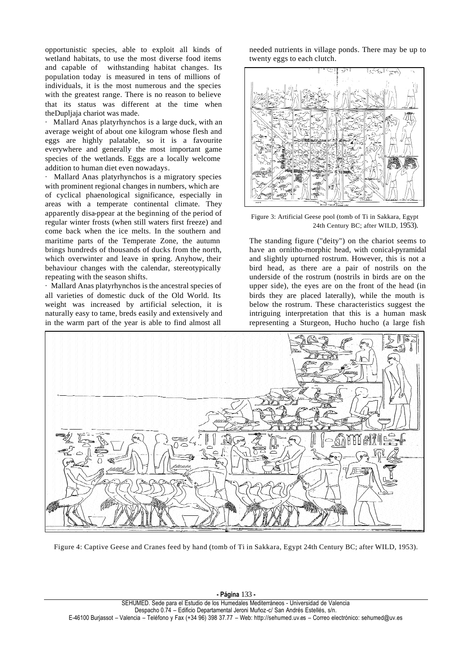opportunistic species, able to exploit all kinds of wetland habitats, to use the most diverse food items and capable of withstanding habitat changes. Its population today is measured in tens of millions of individuals, it is the most numerous and the species with the greatest range. There is no reason to believe that its status was different at the time when theDupljaja chariot was made.

· Mallard Anas platyrhynchos is a large duck, with an average weight of about one kilogram whose flesh and eggs are highly palatable, so it is a favourite everywhere and generally the most important game species of the wetlands. Eggs are a locally welcome addition to human diet even nowadays.

Mallard Anas platyrhynchos is a migratory species with prominent regional changes in numbers, which are of cyclical phaenological significance, especially in areas with a temperate continental climate. They apparently disa-ppear at the beginning of the period of regular winter frosts (when still waters first freeze) and come back when the ice melts. In the southern and maritime parts of the Temperate Zone, the autumn brings hundreds of thousands of ducks from the north, which overwinter and leave in spring. Anyhow, their behaviour changes with the calendar, stereotypically repeating with the season shifts.

· Mallard Anas platyrhynchos is the ancestral species of all varieties of domestic duck of the Old World. Its weight was increased by artificial selection, it is naturally easy to tame, breds easily and extensively and in the warm part of the year is able to find almost all

needed nutrients in village ponds. There may be up to twenty eggs to each clutch.



Figure 3: Artificial Geese pool (tomb of Ti in Sakkara, Egypt 24th Century BC; after WILD, 1953).

The standing figure ("deity") on the chariot seems to have an ornitho-morphic head, with conical-pyramidal and slightly upturned rostrum. However, this is not a bird head, as there are a pair of nostrils on the underside of the rostrum (nostrils in birds are on the upper side), the eyes are on the front of the head (in birds they are placed laterally), while the mouth is below the rostrum. These characteristics suggest the intriguing interpretation that this is a human mask representing a Sturgeon, Hucho hucho (a large fish



Figure 4: Captive Geese and Cranes feed by hand (tomb of Ti in Sakkara, Egypt 24th Century BC; after WILD, 1953).

**- Página** 133 **-** SEHUMED. Sede para el Estudio de los Humedales Mediterráneos - Universidad de Valencia Despacho 0.74 – Edificio Departamental Jeroni Muñoz-c/ San Andrés Estellés, s/n. E-46100 Burjassot – Valencia – Teléfono y Fax (+34 96) 398 37.77 – Web: http://sehumed.uv.es – Correo electrónico: sehumed@uv.es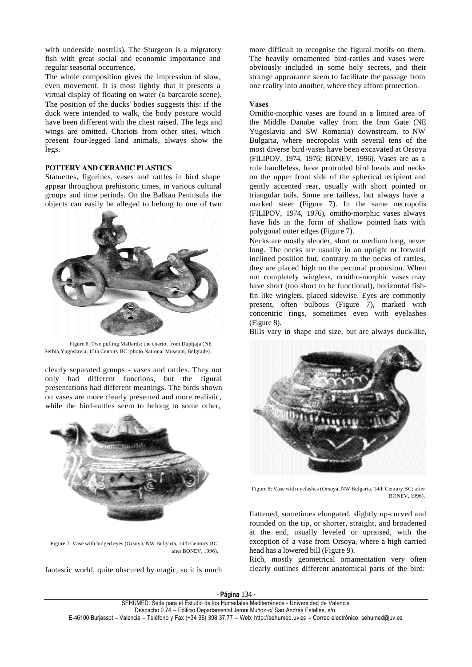with underside nostrils). The Sturgeon is a migratory fish with great social and economic importance and regular seasonal occurrence.

The whole composition gives the impression of slow, even movement. It is most lightly that it presents a virtual display of floating on water (a barcarole scene). The position of the ducks' bodies suggests this: if the duck were intended to walk, the body posture would have been different with the chest raised. The legs and wings are omitted. Chariots from other sites, which present four-legged land animals, always show the legs.

# **POTTERY AND CERAMIC PLASTICS**

Statuettes, figurines, vases and rattles in bird shape appear throughout prehistoric times, in various cultural groups and time periods. On the Balkan Peninsula the objects can easily be alleged to belong to one of two



Figure 6: Two pulling Mallards: the chariot from Dupljaja (NE Serbia,Yugoslavia, 15th Century BC; photo National Museum, Belgrade).

clearly separated groups - vases and rattles. They not only had different functions, but the figural presentations had different meanings. The birds shown on vases are more clearly presented and more realistic, while the bird-rattles seem to belong to some other,



Figure 7: Vase with bulged eyes (Orsoya, NW Bulgaria, 14th Century BC; after BONEV, 1996).

fantastic world, quite obscured by magic, so it is much

more difficult to recognise the figural motifs on them. The heavily ornamented bird-rattles and vases were obviously included in some holy secrets, and their strange appearance seem to facilitate the passage from one reality into another, where they afford protection.

### **Vases**

Ornitho-morphic vases are found in a limited area of the Middle Danube valley from the Iron Gate (NE Yugoslavia and SW Romania) downstream, to NW Bulgaria, where necropolis with several tens of the most diverse bird-vases have been excavated at Orsoya (FILIPOV, 1974, 1976; BONEV, 1996). Vases are as a rule handleless, have protruded bird heads and necks on the upper front side of the spherical recipient and gently accented rear, usually with short pointed or triangular tails. Some are tailless, but always have a marked steer (Figure 7). In the same necropolis (FILIPOV, 1974, 1976), ornitho-morphic vases always have lids in the form of shallow pointed hats with polygonal outer edges (Figure 7).

Necks are mostly slender, short or medium long, never long. The necks are usually in an upright or forward inclined position but, contrary to the necks of rattles, they are placed high on the pectoral protrusion. When not completely wingless, ornitho-morphic vases may have short (too short to be functional), horizontal fishfin like winglets, placed sidewise. Eyes are commonly present, often bulbous (Figure 7), marked with concentric rings, sometimes even with eyelashes (Figure 8).

Bills vary in shape and size, but are always duck-like,



Figure 8: Vase with eyelashes (Orsoya, NW Bulgaria, 14th Century BC; after BONEV, 1996).

flattened, sometimes elongated, slightly up-curved and rounded on the tip, or shorter, straight, and broadened at the end, usually leveled or upraised, with the exception of a vase from Orsoya, where a high carried head has a lowered bill (Figure 9).

Rich, mostly geometrical ornamentation very often clearly outlines different anatomical parts of the bird: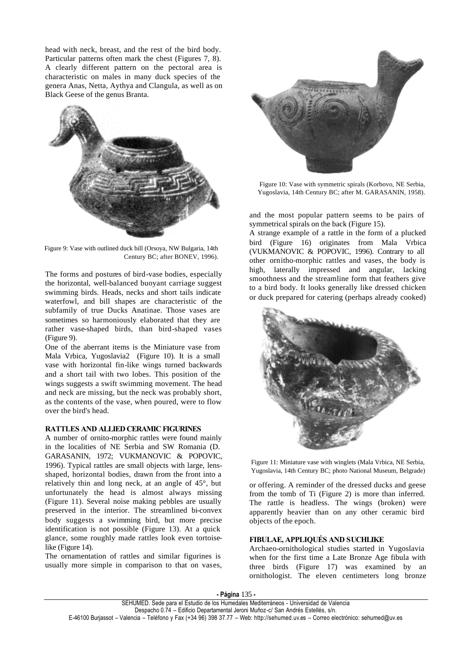head with neck, breast, and the rest of the bird body. Particular patterns often mark the chest (Figures 7, 8). A clearly different pattern on the pectoral area is characteristic on males in many duck species of the genera Anas, Netta, Aythya and Clangula, as well as on Black Geese of the genus Branta.



Figure 9: Vase with outlined duck bill (Orsoya, NW Bulgaria, 14th Century BC; after BONEV, 1996).

The forms and postures of bird-vase bodies, especially the horizontal, well-balanced buoyant carriage suggest swimming birds. Heads, necks and short tails indicate waterfowl, and bill shapes are characteristic of the subfamily of true Ducks Anatinae. Those vases are sometimes so harmoniously elaborated that they are rather vase-shaped birds, than bird-shaped vases (Figure 9).

One of the aberrant items is the Miniature vase from Mala Vrbica, Yugoslavia2 (Figure 10). It is a small vase with horizontal fin-like wings turned backwards and a short tail with two lobes. This position of the wings suggests a swift swimming movement. The head and neck are missing, but the neck was probably short, as the contents of the vase, when poured, were to flow over the bird's head.

# **RATTLES AND ALLIED CERAMIC FIGURINES**

A number of ornito-morphic rattles were found mainly in the localities of NE Serbia and SW Romania (D. GARASANIN, 1972; VUKMANOVIC & POPOVIC, 1996). Typical rattles are small objects with large, lensshaped, horizontal bodies, drawn from the front into a relatively thin and long neck, at an angle of 45°, but unfortunately the head is almost always missing (Figure 11). Several noise making pebbles are usually preserved in the interior. The streamlined bi-convex body suggests a swimming bird, but more precise identification is not possible (Figure 13). At a quick glance, some roughly made rattles look even tortoiselike (Figure 14).

The ornamentation of rattles and similar figurines is usually more simple in comparison to that on vases,



Figure 10: Vase with symmetric spirals (Korbovo, NE Serbia, Yugoslavia, 14th Century BC; after M. GARASANIN, 1958).

and the most popular pattern seems to be pairs of symmetrical spirals on the back (Figure 15).

A strange example of a rattle in the form of a plucked bird (Figure 16) originates from Mala Vrbica (VUKMANOVIC & POPOVIC, 1996). Contrary to all other ornitho-morphic rattles and vases, the body is high, laterally impressed and angular, lacking smoothness and the streamline form that feathers give to a bird body. It looks generally like dressed chicken or duck prepared for catering (perhaps already cooked)



Figure 11: Miniature vase with winglets (Mala Vrbica, NE Serbia, Yugoslavia, 14th Century BC; photo National Museum, Belgrade)

or offering. A reminder of the dressed ducks and geese from the tomb of Ti (Figure 2) is more than inferred. The rattle is headless. The wings (broken) were apparently heavier than on any other ceramic bird objects of the epoch.

# **FIBULAE, APPLIQUÉS AND SUCHLIKE**

Archaeo-ornithological studies started in Yugoslavia when for the first time a Late Bronze Age fibula with three birds (Figure 17) was examined by an ornithologist. The eleven centimeters long bronze

**- Página** 135 **-**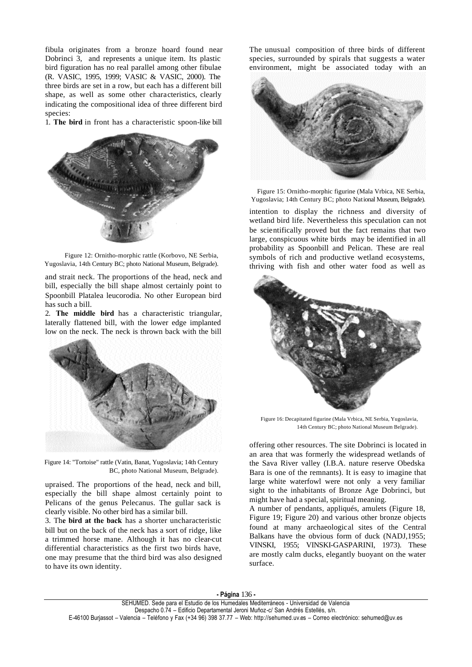fibula originates from a bronze hoard found near Dobrinci 3, and represents a unique item. Its plastic bird figuration has no real parallel among other fibulae (R. VASIC, 1995, 1999; VASIC & VASIC, 2000). The three birds are set in a row, but each has a different bill shape, as well as some other characteristics, clearly indicating the compositional idea of three different bird species:

1. **The bird** in front has a characteristic spoon-like bill



Figure 12: Ornitho-morphic rattle (Korbovo, NE Serbia, Yugoslavia, 14th Century BC; photo National Museum, Belgrade).

and strait neck. The proportions of the head, neck and bill, especially the bill shape almost certainly point to Spoonbill Platalea leucorodia. No other European bird has such a bill.

2. **The middle bird** has a characteristic triangular, laterally flattened bill, with the lower edge implanted low on the neck. The neck is thrown back with the bill



Figure 14: "Tortoise" rattle (Vatin, Banat, Yugoslavia; 14th Century BC, photo National Museum, Belgrade).

upraised. The proportions of the head, neck and bill, especially the bill shape almost certainly point to Pelicans of the genus Pelecanus. The gullar sack is clearly visible. No other bird has a similar bill.

3. Th**e bird at the back** has a shorter uncharacteristic bill but on the back of the neck has a sort of ridge, like a trimmed horse mane. Although it has no clear-cut differential characteristics as the first two birds have, one may presume that the third bird was also designed to have its own identity.

The unusual composition of three birds of different species, surrounded by spirals that suggests a water environment, might be associated today with an



Figure 15: Ornitho-morphic figurine (Mala Vrbica, NE Serbia, Yugoslavia; 14th Century BC; photo National Museum, Belgrade).

intention to display the richness and diversity of wetland bird life. Nevertheless this speculation can not be scientifically proved but the fact remains that two large, conspicuous white birds may be identified in all probability as Spoonbill and Pelican. These are real symbols of rich and productive wetland ecosystems, thriving with fish and other water food as well as



Figure 16: Decapitated figurine (Mala Vrbica, NE Serbia, Yugoslavia, 14th Century BC; photo National Museum Belgrade).

offering other resources. The site Dobrinci is located in an area that was formerly the widespread wetlands of the Sava River valley (I.B.A. nature reserve Obedska Bara is one of the remnants). It is easy to imagine that large white waterfowl were not only a very familiar sight to the inhabitants of Bronze Age Dobrinci, but might have had a special, spiritual meaning.

A number of pendants, appliqués, amulets (Figure 18, Figure 19; Figure 20) and various other bronze objects found at many archaeological sites of the Central Balkans have the obvious form of duck (NADJ,1955; VINSKI, 1955; VINSKI-GASPARINI, 1973). These are mostly calm ducks, elegantly buoyant on the water surface.

**- Página** 136 **-**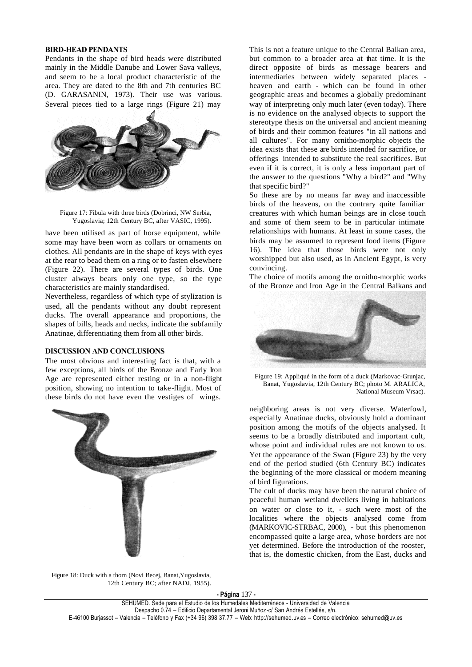#### **BIRD-HEAD PENDANTS**

Pendants in the shape of bird heads were distributed mainly in the Middle Danube and Lower Sava valleys, and seem to be a local product characteristic of the area. They are dated to the 8th and 7th centuries BC (D. GARASANIN, 1973). Their use was various. Several pieces tied to a large rings (Figure 21) may



Figure 17: Fibula with three birds (Dobrinci, NW Serbia, Yugoslavia; 12th Century BC, after VASIC, 1995).

have been utilised as part of horse equipment, while some may have been worn as collars or ornaments on clothes. All pendants are in the shape of keys with eyes at the rear to bead them on a ring or to fasten elsewhere (Figure 22). There are several types of birds. One cluster always bears only one type, so the type characteristics are mainly standardised.

Nevertheless, regardless of which type of stylization is used, all the pendants without any doubt represent ducks. The overall appearance and proportions, the shapes of bills, heads and necks, indicate the subfamily Anatinae, differentiating them from all other birds.

#### **DISCUSSION AND CONCLUSIONS**

The most obvious and interesting fact is that, with a few exceptions, all birds of the Bronze and Early Iron Age are represented either resting or in a non-flight position, showing no intention to take-flight. Most of these birds do not have even the vestiges of wings.



This is not a feature unique to the Central Balkan area, but common to a broader area at that time. It is the direct opposite of birds as message bearers and intermediaries between widely separated places heaven and earth - which can be found in other geographic areas and becomes a globally predominant way of interpreting only much later (even today). There is no evidence on the analysed objects to support the stereotype thesis on the universal and ancient meaning of birds and their common features "in all nations and all cultures". For many ornitho-morphic objects the idea exists that these are birds intended for sacrifice, or offerings intended to substitute the real sacrifices. But even if it is correct, it is only a less important part of the answer to the questions "Why a bird?" and "Why that specific bird?"

So these are by no means far away and inaccessible birds of the heavens, on the contrary quite familiar creatures with which human beings are in close touch and some of them seem to be in particular intimate relationships with humans. At least in some cases, the birds may be assumed to represent food items (Figure 16). The idea that those birds were not only worshipped but also used, as in Ancient Egypt, is very convincing.

The choice of motifs among the ornitho-morphic works of the Bronze and Iron Age in the Central Balkans and



Figure 19: Appliqué in the form of a duck (Markovac-Grunjac, Banat, Yugoslavia, 12th Century BC; photo M. ARALICA, National Museum Vrsac).

neighboring areas is not very diverse. Waterfowl, especially Anatinae ducks, obviously hold a dominant position among the motifs of the objects analysed. It seems to be a broadly distributed and important cult, whose point and individual rules are not known to us. Yet the appearance of the Swan (Figure 23) by the very end of the period studied (6th Century BC) indicates the beginning of the more classical or modern meaning of bird figurations.

The cult of ducks may have been the natural choice of peaceful human wetland dwellers living in habitations on water or close to it, - such were most of the localities where the objects analysed come from (MARKOVIC-STRBAC, 2000), - but this phenomenon encompassed quite a large area, whose borders are not yet determined. Before the introduction of the rooster, that is, the domestic chicken, from the East, ducks and

Figure 18: Duck with a thorn (Novi Becej, Banat,Yugoslavia, 12th Century BC; after NADJ, 1955).

**- Página** 137 **-**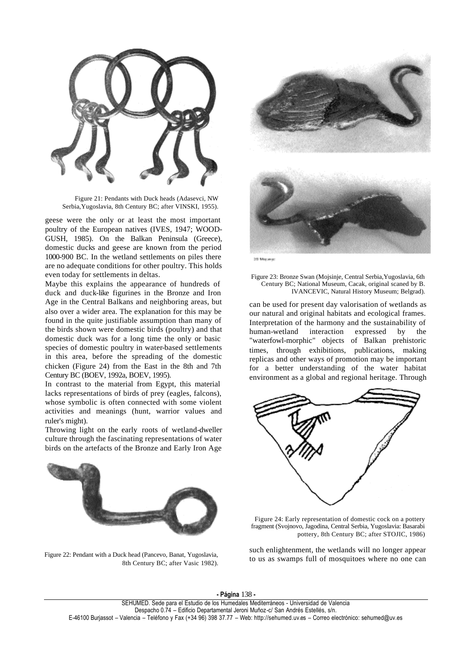

Figure 21: Pendants with Duck heads (Adasevci, NW Serbia,Yugoslavia, 8th Century BC; after VINSKI, 1955).

geese were the only or at least the most important poultry of the European natives (IVES, 1947; WOOD-GUSH, 1985). On the Balkan Peninsula (Greece), domestic ducks and geese are known from the period 1000-900 BC. In the wetland settlements on piles there are no adequate conditions for other poultry. This holds even today for settlements in deltas.

Maybe this explains the appearance of hundreds of duck and duck-like figurines in the Bronze and Iron Age in the Central Balkans and neighboring areas, but also over a wider area. The explanation for this may be found in the quite justifiable assumption than many of the birds shown were domestic birds (poultry) and that domestic duck was for a long time the only or basic species of domestic poultry in water-based settlements in this area, before the spreading of the domestic chicken (Figure 24) from the East in the 8th and 7th Century BC (BOEV, 1992a, BOEV, 1995).

In contrast to the material from Egypt, this material lacks representations of birds of prey (eagles, falcons), whose symbolic is often connected with some violent activities and meanings (hunt, warrior values and ruler's might).

Throwing light on the early roots of wetland-dweller culture through the fascinating representations of water birds on the artefacts of the Bronze and Early Iron Age



Figure 22: Pendant with a Duck head (Pancevo, Banat, Yugoslavia, 8th Century BC; after Vasic 1982).



Figure 23: Bronze Swan (Mojsinje, Central Serbia,Yugoslavia, 6th Century BC; National Museum, Cacak, original scaned by B. IVANCEVIC, Natural History Museum; Belgrad).

can be used for present day valorisation of wetlands as our natural and original habitats and ecological frames. Interpretation of the harmony and the sustainability of human-wetland interaction expressed by the "waterfowl-morphic" objects of Balkan prehistoric times, through exhibitions, publications, making replicas and other ways of promotion may be important for a better understanding of the water habitat environment as a global and regional heritage. Through



Figure 24: Early representation of domestic cock on a pottery fragment (Svojnovo, Jagodina, Central Serbia, Yugoslavia: Basarabi pottery, 8th Century BC; after STOJIC, 1986)

such enlightenment, the wetlands will no longer appear to us as swamps full of mosquitoes where no one can

**- Página** 138 **-**